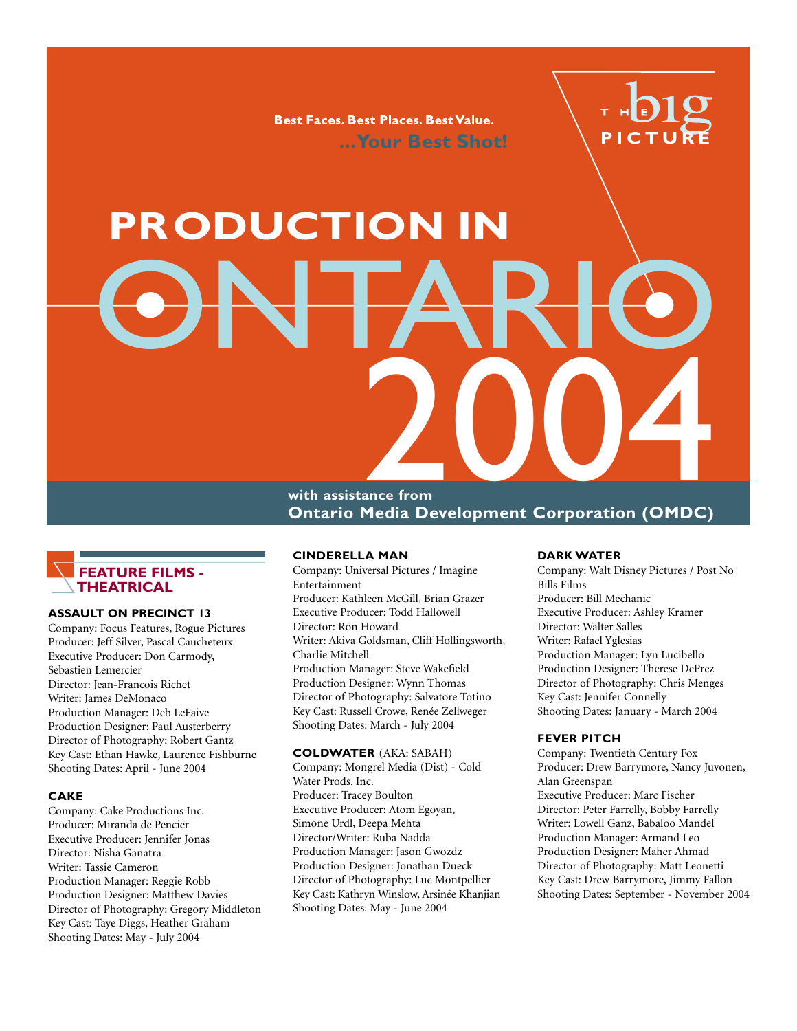**Best Faces. Best Places. Best Value.** ... Your Best Shot!



# **PRODUCTION IN** Media Development Corporation (OMDC)

**with assistance from Ontario Media Development Corporation (OMDC)**



### **ASSAULT ON PRECINCT 13**

Company: Focus Features, Rogue Pictures Producer: Jeff Silver, Pascal Caucheteux Executive Producer: Don Carmody, Sebastien Lemercier Director: Jean-Francois Richet Writer: James DeMonaco Production Manager: Deb LeFaive Production Designer: Paul Austerberry Director of Photography: Robert Gantz Key Cast: Ethan Hawke, Laurence Fishburne Shooting Dates: April - June 2004

### **CAKE**

Company: Cake Productions Inc. Producer: Miranda de Pencier Executive Producer: Jennifer Jonas Director: Nisha Ganatra Writer: Tassie Cameron Production Manager: Reggie Robb Production Designer: Matthew Davies Director of Photography: Gregory Middleton Key Cast: Taye Diggs, Heather Graham Shooting Dates: May - July 2004

### **CINDERELLA MAN**

Company: Universal Pictures / Imagine Entertainment Producer: Kathleen McGill, Brian Grazer Executive Producer: Todd Hallowell Director: Ron Howard Writer: Akiva Goldsman, Cliff Hollingsworth, Charlie Mitchell Production Manager: Steve Wakefield Production Designer: Wynn Thomas Director of Photography: Salvatore Totino Key Cast: Russell Crowe, Renée Zellweger Shooting Dates: March - July 2004

### **COLDWATER** (AKA: SABAH)

Company: Mongrel Media (Dist) - Cold Water Prods. Inc. Producer: Tracey Boulton Executive Producer: Atom Egoyan, Simone Urdl, Deepa Mehta Director/Writer: Ruba Nadda Production Manager: Jason Gwozdz Production Designer: Jonathan Dueck Director of Photography: Luc Montpellier Key Cast: Kathryn Winslow, Arsinée Khanjian Shooting Dates: May - June 2004

### **DARK WATER**

Company: Walt Disney Pictures / Post No Bills Films Producer: Bill Mechanic Executive Producer: Ashley Kramer Director: Walter Salles Writer: Rafael Yglesias Production Manager: Lyn Lucibello Production Designer: Therese DePrez Director of Photography: Chris Menges Key Cast: Jennifer Connelly Shooting Dates: January - March 2004

### **FEVER PITCH**

Company: Twentieth Century Fox Producer: Drew Barrymore, Nancy Juvonen, Alan Greenspan Executive Producer: Marc Fischer Director: Peter Farrelly, Bobby Farrelly Writer: Lowell Ganz, Babaloo Mandel Production Manager: Armand Leo Production Designer: Maher Ahmad Director of Photography: Matt Leonetti Key Cast: Drew Barrymore, Jimmy Fallon Shooting Dates: September - November 2004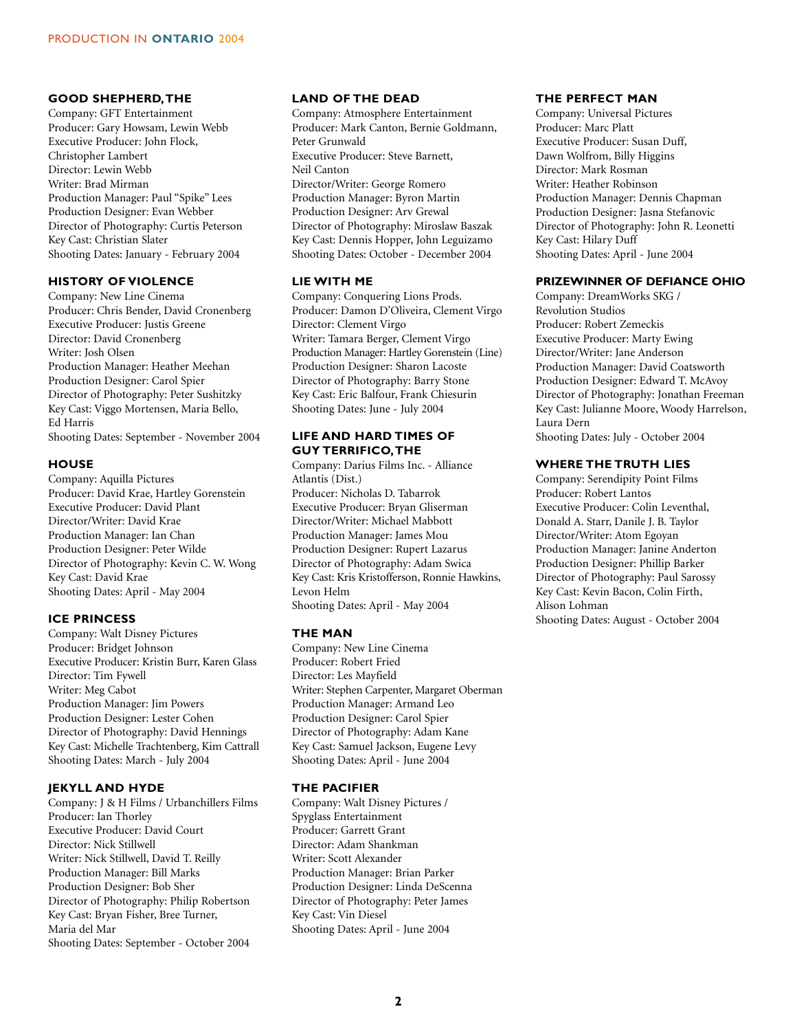### **GOOD SHEPHERD,THE**

Company: GFT Entertainment Producer: Gary Howsam, Lewin Webb Executive Producer: John Flock, Christopher Lambert Director: Lewin Webb Writer: Brad Mirman Production Manager: Paul "Spike" Lees Production Designer: Evan Webber Director of Photography: Curtis Peterson Key Cast: Christian Slater Shooting Dates: January - February 2004

### **HISTORY OF VIOLENCE**

Company: New Line Cinema Producer: Chris Bender, David Cronenberg Executive Producer: Justis Greene Director: David Cronenberg Writer: Josh Olsen Production Manager: Heather Meehan Production Designer: Carol Spier Director of Photography: Peter Sushitzky Key Cast: Viggo Mortensen, Maria Bello, Ed Harris Shooting Dates: September - November 2004

### **HOUSE**

Company: Aquilla Pictures Producer: David Krae, Hartley Gorenstein Executive Producer: David Plant Director/Writer: David Krae Production Manager: Ian Chan Production Designer: Peter Wilde Director of Photography: Kevin C. W. Wong Key Cast: David Krae Shooting Dates: April - May 2004

### **ICE PRINCESS**

Company: Walt Disney Pictures Producer: Bridget Johnson Executive Producer: Kristin Burr, Karen Glass Director: Tim Fywell Writer: Meg Cabot Production Manager: Jim Powers Production Designer: Lester Cohen Director of Photography: David Hennings Key Cast: Michelle Trachtenberg, Kim Cattrall Shooting Dates: March - July 2004

### **JEKYLL AND HYDE**

Company: J & H Films / Urbanchillers Films Producer: Ian Thorley Executive Producer: David Court Director: Nick Stillwell Writer: Nick Stillwell, David T. Reilly Production Manager: Bill Marks Production Designer: Bob Sher Director of Photography: Philip Robertson Key Cast: Bryan Fisher, Bree Turner, Maria del Mar Shooting Dates: September - October 2004

### **LAND OF THE DEAD**

Company: Atmosphere Entertainment Producer: Mark Canton, Bernie Goldmann, Peter Grunwald Executive Producer: Steve Barnett, Neil Canton Director/Writer: George Romero Production Manager: Byron Martin Production Designer: Arv Grewal Director of Photography: Miroslaw Baszak Key Cast: Dennis Hopper, John Leguizamo Shooting Dates: October - December 2004

### **LIE WITH ME**

Company: Conquering Lions Prods. Producer: Damon D'Oliveira, Clement Virgo Director: Clement Virgo Writer: Tamara Berger, Clement Virgo Production Manager: Hartley Gorenstein (Line) Production Designer: Sharon Lacoste Director of Photography: Barry Stone Key Cast: Eric Balfour, Frank Chiesurin Shooting Dates: June - July 2004

### **LIFE AND HARD TIMES OF GUY TERRIFICO,THE**

Company: Darius Films Inc. - Alliance Atlantis (Dist.) Producer: Nicholas D. Tabarrok Executive Producer: Bryan Gliserman Director/Writer: Michael Mabbott Production Manager: James Mou Production Designer: Rupert Lazarus Director of Photography: Adam Swica Key Cast: Kris Kristofferson, Ronnie Hawkins, Levon Helm Shooting Dates: April - May 2004

### **THE MAN**

Company: New Line Cinema Producer: Robert Fried Director: Les Mayfield Writer: Stephen Carpenter, Margaret Oberman Production Manager: Armand Leo Production Designer: Carol Spier Director of Photography: Adam Kane Key Cast: Samuel Jackson, Eugene Levy Shooting Dates: April - June 2004

### **THE PACIFIER**

Company: Walt Disney Pictures / Spyglass Entertainment Producer: Garrett Grant Director: Adam Shankman Writer: Scott Alexander Production Manager: Brian Parker Production Designer: Linda DeScenna Director of Photography: Peter James Key Cast: Vin Diesel Shooting Dates: April - June 2004

### **THE PERFECT MAN**

Company: Universal Pictures Producer: Marc Platt Executive Producer: Susan Duff, Dawn Wolfrom, Billy Higgins Director: Mark Rosman Writer: Heather Robinson Production Manager: Dennis Chapman Production Designer: Jasna Stefanovic Director of Photography: John R. Leonetti Key Cast: Hilary Duff Shooting Dates: April - June 2004

### **PRIZEWINNER OF DEFIANCE OHIO**

Company: DreamWorks SKG / Revolution Studios Producer: Robert Zemeckis Executive Producer: Marty Ewing Director/Writer: Jane Anderson Production Manager: David Coatsworth Production Designer: Edward T. McAvoy Director of Photography: Jonathan Freeman Key Cast: Julianne Moore, Woody Harrelson, Laura Dern

Shooting Dates: July - October 2004

### **WHERE THE TRUTH LIES**

Company: Serendipity Point Films Producer: Robert Lantos Executive Producer: Colin Leventhal, Donald A. Starr, Danile J. B. Taylor Director/Writer: Atom Egoyan Production Manager: Janine Anderton Production Designer: Phillip Barker Director of Photography: Paul Sarossy Key Cast: Kevin Bacon, Colin Firth, Alison Lohman Shooting Dates: August - October 2004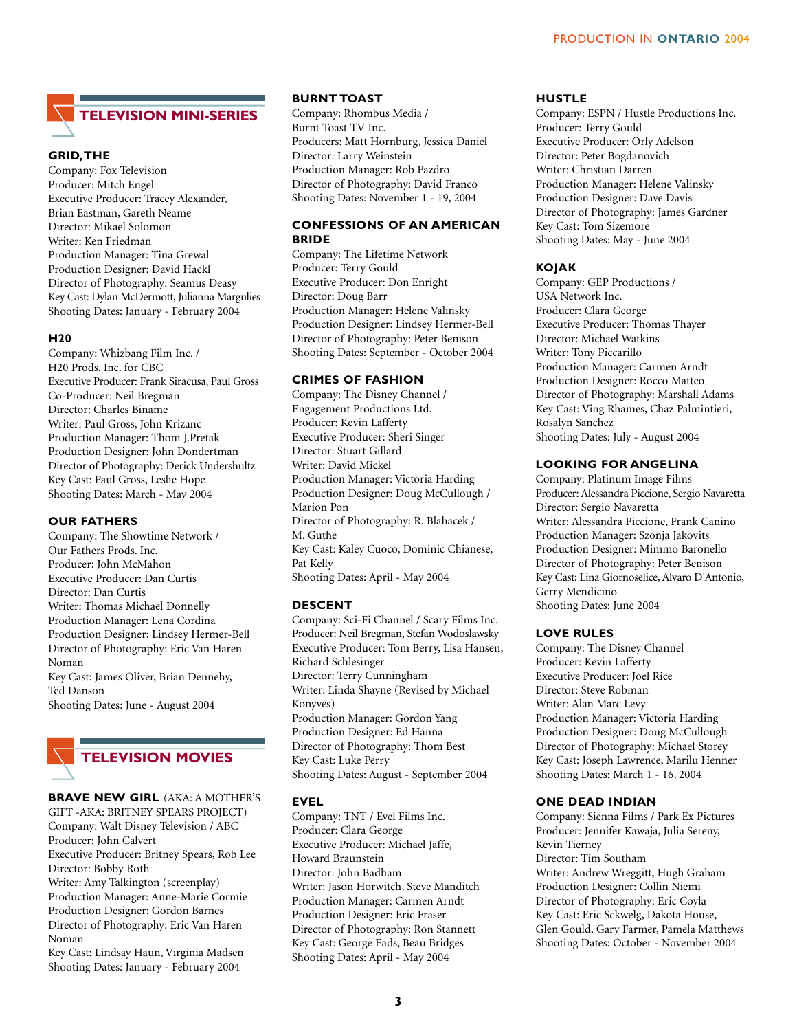# **TELEVISION MINI-SERIES**

### **GRID,THE**

Company: Fox Television Producer: Mitch Engel Executive Producer: Tracey Alexander, Brian Eastman, Gareth Neame Director: Mikael Solomon Writer: Ken Friedman Production Manager: Tina Grewal Production Designer: David Hackl Director of Photography: Seamus Deasy Key Cast: Dylan McDermott, Julianna Margulies Shooting Dates: January - February 2004

### **H20**

Company: Whizbang Film Inc. / H20 Prods. Inc. for CBC Executive Producer: Frank Siracusa, Paul Gross Co-Producer: Neil Bregman Director: Charles Biname Writer: Paul Gross, John Krizanc Production Manager: Thom J.Pretak Production Designer: John Dondertman Director of Photography: Derick Undershultz Key Cast: Paul Gross, Leslie Hope Shooting Dates: March - May 2004

### **OUR FATHERS**

Company: The Showtime Network / Our Fathers Prods. Inc. Producer: John McMahon Executive Producer: Dan Curtis Director: Dan Curtis Writer: Thomas Michael Donnelly Production Manager: Lena Cordina Production Designer: Lindsey Hermer-Bell Director of Photography: Eric Van Haren Noman Key Cast: James Oliver, Brian Dennehy, Ted Danson Shooting Dates: June - August 2004



### **BRAVE NEW GIRL** (AKA: A MOTHER'S

GIFT -AKA: BRITNEY SPEARS PROJECT) Company: Walt Disney Television / ABC Producer: John Calvert Executive Producer: Britney Spears, Rob Lee Director: Bobby Roth Writer: Amy Talkington (screenplay)

Production Manager: Anne-Marie Cormie Production Designer: Gordon Barnes Director of Photography: Eric Van Haren Noman

Key Cast: Lindsay Haun, Virginia Madsen Shooting Dates: January - February 2004

### **BURNT TOAST**

Company: Rhombus Media / Burnt Toast TV Inc. Producers: Matt Hornburg, Jessica Daniel Director: Larry Weinstein Production Manager: Rob Pazdro Director of Photography: David Franco Shooting Dates: November 1 - 19, 2004

### **CONFESSIONS OF AN AMERICAN BRIDE**

Company: The Lifetime Network Producer: Terry Gould Executive Producer: Don Enright Director: Doug Barr Production Manager: Helene Valinsky Production Designer: Lindsey Hermer-Bell Director of Photography: Peter Benison Shooting Dates: September - October 2004

### **CRIMES OF FASHION**

Company: The Disney Channel / Engagement Productions Ltd. Producer: Kevin Lafferty Executive Producer: Sheri Singer Director: Stuart Gillard Writer: David Mickel Production Manager: Victoria Harding Production Designer: Doug McCullough / Marion Pon Director of Photography: R. Blahacek / M. Guthe Key Cast: Kaley Cuoco, Dominic Chianese, Pat Kelly Shooting Dates: April - May 2004

### **DESCENT**

Company: Sci-Fi Channel / Scary Films Inc. Producer: Neil Bregman, Stefan Wodoslawsky Executive Producer: Tom Berry, Lisa Hansen, Richard Schlesinger Director: Terry Cunningham Writer: Linda Shayne (Revised by Michael Konyves) Production Manager: Gordon Yang Production Designer: Ed Hanna Director of Photography: Thom Best Key Cast: Luke Perry Shooting Dates: August - September 2004

### **EVEL**

Company: TNT / Evel Films Inc. Producer: Clara George Executive Producer: Michael Jaffe, Howard Braunstein Director: John Badham Writer: Jason Horwitch, Steve Manditch Production Manager: Carmen Arndt Production Designer: Eric Fraser Director of Photography: Ron Stannett Key Cast: George Eads, Beau Bridges Shooting Dates: April - May 2004

### **HUSTLE**

Company: ESPN / Hustle Productions Inc. Producer: Terry Gould Executive Producer: Orly Adelson Director: Peter Bogdanovich Writer: Christian Darren Production Manager: Helene Valinsky Production Designer: Dave Davis Director of Photography: James Gardner Key Cast: Tom Sizemore Shooting Dates: May - June 2004

### **KOJAK**

Company: GEP Productions / USA Network Inc. Producer: Clara George Executive Producer: Thomas Thayer Director: Michael Watkins Writer: Tony Piccarillo Production Manager: Carmen Arndt Production Designer: Rocco Matteo Director of Photography: Marshall Adams Key Cast: Ving Rhames, Chaz Palmintieri, Rosalyn Sanchez Shooting Dates: July - August 2004

### **LOOKING FOR ANGELINA**

Company: Platinum Image Films Producer: Alessandra Piccione, Sergio Navaretta Director: Sergio Navaretta Writer: Alessandra Piccione, Frank Canino Production Manager: Szonja Jakovits Production Designer: Mimmo Baronello Director of Photography: Peter Benison Key Cast: Lina Giornoselice, Alvaro D'Antonio, Gerry Mendicino Shooting Dates: June 2004

### **LOVE RULES**

Company: The Disney Channel Producer: Kevin Lafferty Executive Producer: Joel Rice Director: Steve Robman Writer: Alan Marc Levy Production Manager: Victoria Harding Production Designer: Doug McCullough Director of Photography: Michael Storey Key Cast: Joseph Lawrence, Marilu Henner Shooting Dates: March 1 - 16, 2004

### **ONE DEAD INDIAN**

Company: Sienna Films / Park Ex Pictures Producer: Jennifer Kawaja, Julia Sereny, Kevin Tierney Director: Tim Southam Writer: Andrew Wreggitt, Hugh Graham Production Designer: Collin Niemi Director of Photography: Eric Coyla Key Cast: Eric Sckwelg, Dakota House, Glen Gould, Gary Farmer, Pamela Matthews Shooting Dates: October - November 2004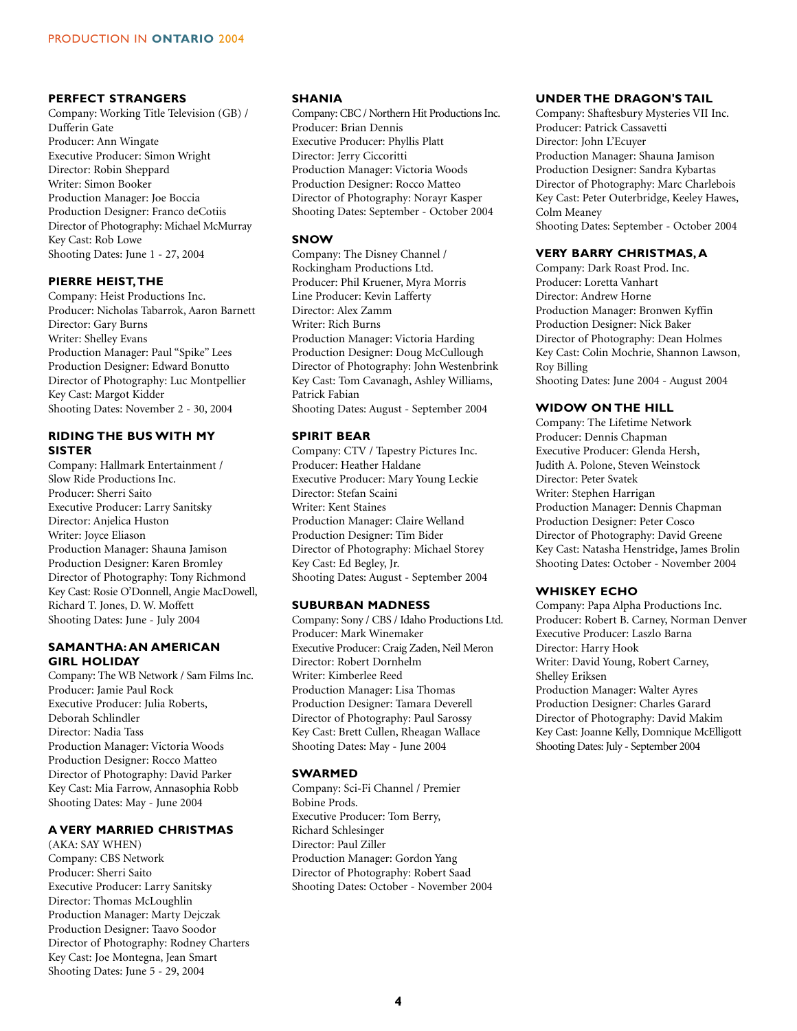### **PERFECT STRANGERS**

Company: Working Title Television (GB) / Dufferin Gate Producer: Ann Wingate Executive Producer: Simon Wright Director: Robin Sheppard Writer: Simon Booker Production Manager: Joe Boccia Production Designer: Franco deCotiis Director of Photography: Michael McMurray Key Cast: Rob Lowe Shooting Dates: June 1 - 27, 2004

### **PIERRE HEIST,THE**

Company: Heist Productions Inc. Producer: Nicholas Tabarrok, Aaron Barnett Director: Gary Burns Writer: Shelley Evans Production Manager: Paul "Spike" Lees Production Designer: Edward Bonutto Director of Photography: Luc Montpellier Key Cast: Margot Kidder Shooting Dates: November 2 - 30, 2004

### **RIDING THE BUS WITH MY SISTER**

Company: Hallmark Entertainment / Slow Ride Productions Inc. Producer: Sherri Saito Executive Producer: Larry Sanitsky Director: Anjelica Huston Writer: Joyce Eliason Production Manager: Shauna Jamison Production Designer: Karen Bromley Director of Photography: Tony Richmond Key Cast: Rosie O'Donnell, Angie MacDowell, Richard T. Jones, D. W. Moffett Shooting Dates: June - July 2004

### **SAMANTHA:AN AMERICAN GIRL HOLIDAY**

Company: The WB Network / Sam Films Inc. Producer: Jamie Paul Rock Executive Producer: Julia Roberts, Deborah Schlindler Director: Nadia Tass Production Manager: Victoria Woods Production Designer: Rocco Matteo Director of Photography: David Parker Key Cast: Mia Farrow, Annasophia Robb Shooting Dates: May - June 2004

### **A VERY MARRIED CHRISTMAS**

(AKA: SAY WHEN) Company: CBS Network Producer: Sherri Saito Executive Producer: Larry Sanitsky Director: Thomas McLoughlin Production Manager: Marty Dejczak Production Designer: Taavo Soodor Director of Photography: Rodney Charters Key Cast: Joe Montegna, Jean Smart Shooting Dates: June 5 - 29, 2004

### **SHANIA**

Company: CBC / Northern Hit Productions Inc. Producer: Brian Dennis Executive Producer: Phyllis Platt Director: Jerry Ciccoritti Production Manager: Victoria Woods Production Designer: Rocco Matteo Director of Photography: Norayr Kasper Shooting Dates: September - October 2004

### **SNOW**

Company: The Disney Channel / Rockingham Productions Ltd. Producer: Phil Kruener, Myra Morris Line Producer: Kevin Lafferty Director: Alex Zamm Writer: Rich Burns Production Manager: Victoria Harding Production Designer: Doug McCullough Director of Photography: John Westenbrink Key Cast: Tom Cavanagh, Ashley Williams, Patrick Fabian Shooting Dates: August - September 2004

### **SPIRIT BEAR**

Company: CTV / Tapestry Pictures Inc. Producer: Heather Haldane Executive Producer: Mary Young Leckie Director: Stefan Scaini Writer: Kent Staines Production Manager: Claire Welland Production Designer: Tim Bider Director of Photography: Michael Storey Key Cast: Ed Begley, Jr. Shooting Dates: August - September 2004

### **SUBURBAN MADNESS**

Company: Sony / CBS / Idaho Productions Ltd. Producer: Mark Winemaker Executive Producer: Craig Zaden, Neil Meron Director: Robert Dornhelm Writer: Kimberlee Reed Production Manager: Lisa Thomas Production Designer: Tamara Deverell Director of Photography: Paul Sarossy Key Cast: Brett Cullen, Rheagan Wallace Shooting Dates: May - June 2004

### **SWARMED**

Company: Sci-Fi Channel / Premier Bobine Prods. Executive Producer: Tom Berry, Richard Schlesinger Director: Paul Ziller Production Manager: Gordon Yang Director of Photography: Robert Saad Shooting Dates: October - November 2004

### **UNDER THE DRAGON'S TAIL**

Company: Shaftesbury Mysteries VII Inc. Producer: Patrick Cassavetti Director: John L'Ecuyer Production Manager: Shauna Jamison Production Designer: Sandra Kybartas Director of Photography: Marc Charlebois Key Cast: Peter Outerbridge, Keeley Hawes, Colm Meaney Shooting Dates: September - October 2004

### **VERY BARRY CHRISTMAS, A**

Company: Dark Roast Prod. Inc. Producer: Loretta Vanhart Director: Andrew Horne Production Manager: Bronwen Kyffin Production Designer: Nick Baker Director of Photography: Dean Holmes Key Cast: Colin Mochrie, Shannon Lawson, Roy Billing Shooting Dates: June 2004 - August 2004

### **WIDOW ON THE HILL**

Company: The Lifetime Network Producer: Dennis Chapman Executive Producer: Glenda Hersh, Judith A. Polone, Steven Weinstock Director: Peter Svatek Writer: Stephen Harrigan Production Manager: Dennis Chapman Production Designer: Peter Cosco Director of Photography: David Greene Key Cast: Natasha Henstridge, James Brolin Shooting Dates: October - November 2004

### **WHISKEY ECHO**

Company: Papa Alpha Productions Inc. Producer: Robert B. Carney, Norman Denver Executive Producer: Laszlo Barna Director: Harry Hook Writer: David Young, Robert Carney, Shelley Eriksen Production Manager: Walter Ayres Production Designer: Charles Garard Director of Photography: David Makim Key Cast: Joanne Kelly, Domnique McElligott Shooting Dates: July - September 2004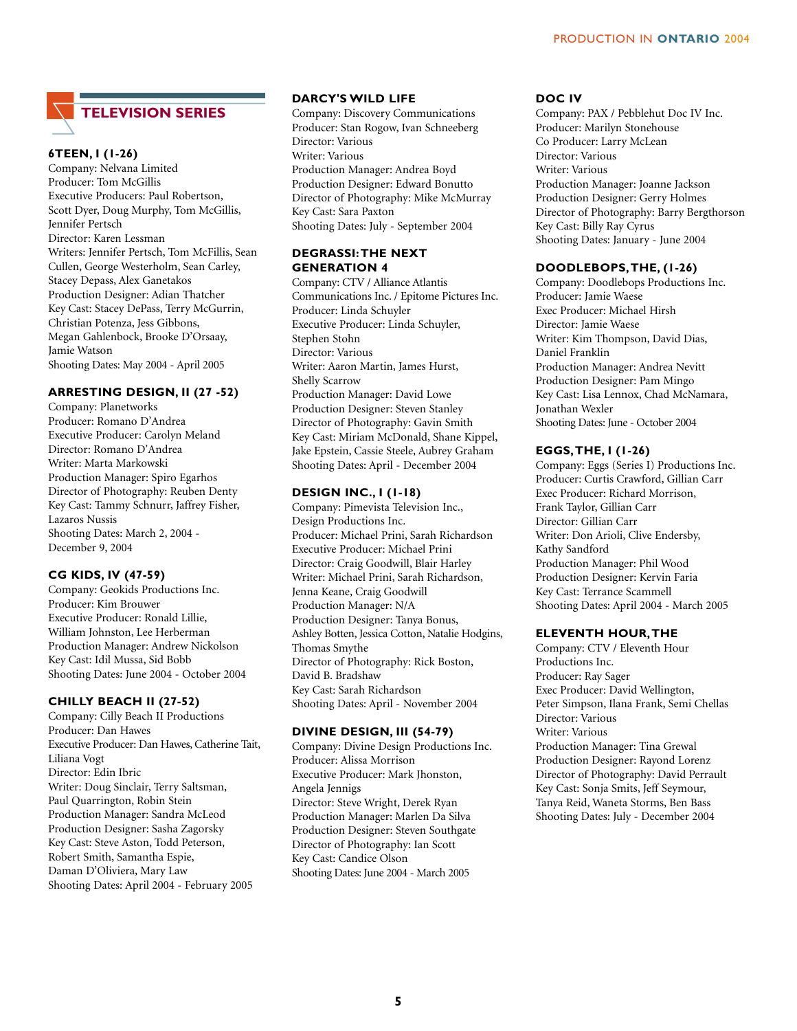## **TELEVISION SERIES**

### **6TEEN, I (1-26)**

Company: Nelvana Limited Producer: Tom McGillis Executive Producers: Paul Robertson, Scott Dyer, Doug Murphy, Tom McGillis, Jennifer Pertsch Director: Karen Lessman Writers: Jennifer Pertsch, Tom McFillis, Sean Cullen, George Westerholm, Sean Carley, Stacey Depass, Alex Ganetakos Production Designer: Adian Thatcher Key Cast: Stacey DePass, Terry McGurrin, Christian Potenza, Jess Gibbons, Megan Gahlenbock, Brooke D'Orsaay, Jamie Watson Shooting Dates: May 2004 - April 2005

### **ARRESTING DESIGN, II (27 -52)**

Company: Planetworks Producer: Romano D'Andrea Executive Producer: Carolyn Meland Director: Romano D'Andrea Writer: Marta Markowski Production Manager: Spiro Egarhos Director of Photography: Reuben Denty Key Cast: Tammy Schnurr, Jaffrey Fisher, Lazaros Nussis Shooting Dates: March 2, 2004 - December 9, 2004

### **CG KIDS, IV (47-59)**

Company: Geokids Productions Inc. Producer: Kim Brouwer Executive Producer: Ronald Lillie, William Johnston, Lee Herberman Production Manager: Andrew Nickolson Key Cast: Idil Mussa, Sid Bobb Shooting Dates: June 2004 - October 2004

### **CHILLY BEACH II (27-52)**

Company: Cilly Beach II Productions Producer: Dan Hawes Executive Producer: Dan Hawes, Catherine Tait, Liliana Vogt Director: Edin Ibric Writer: Doug Sinclair, Terry Saltsman, Paul Quarrington, Robin Stein Production Manager: Sandra McLeod Production Designer: Sasha Zagorsky Key Cast: Steve Aston, Todd Peterson, Robert Smith, Samantha Espie, Daman D'Oliviera, Mary Law Shooting Dates: April 2004 - February 2005

### **DARCY'S WILD LIFE**

Company: Discovery Communications Producer: Stan Rogow, Ivan Schneeberg Director: Various Writer: Various Production Manager: Andrea Boyd Production Designer: Edward Bonutto Director of Photography: Mike McMurray Key Cast: Sara Paxton Shooting Dates: July - September 2004

### **DEGRASSI:THE NEXT GENERATION 4**

Company: CTV / Alliance Atlantis Communications Inc. / Epitome Pictures Inc. Producer: Linda Schuyler Executive Producer: Linda Schuyler, Stephen Stohn Director: Various Writer: Aaron Martin, James Hurst, Shelly Scarrow Production Manager: David Lowe Production Designer: Steven Stanley Director of Photography: Gavin Smith Key Cast: Miriam McDonald, Shane Kippel, Jake Epstein, Cassie Steele, Aubrey Graham Shooting Dates: April - December 2004

### **DESIGN INC., I (1-18)**

Company: Pimevista Television Inc., Design Productions Inc. Producer: Michael Prini, Sarah Richardson Executive Producer: Michael Prini Director: Craig Goodwill, Blair Harley Writer: Michael Prini, Sarah Richardson, Jenna Keane, Craig Goodwill Production Manager: N/A Production Designer: Tanya Bonus, Ashley Botten, Jessica Cotton, Natalie Hodgins, Thomas Smythe Director of Photography: Rick Boston, David B. Bradshaw Key Cast: Sarah Richardson Shooting Dates: April - November 2004

### **DIVINE DESIGN, III (54-79)**

Company: Divine Design Productions Inc. Producer: Alissa Morrison Executive Producer: Mark Jhonston, Angela Jennigs Director: Steve Wright, Derek Ryan Production Manager: Marlen Da Silva Production Designer: Steven Southgate Director of Photography: Ian Scott Key Cast: Candice Olson Shooting Dates: June 2004 - March 2005

### **DOC IV**

Company: PAX / Pebblehut Doc IV Inc. Producer: Marilyn Stonehouse Co Producer: Larry McLean Director: Various Writer: Various Production Manager: Joanne Jackson Production Designer: Gerry Holmes Director of Photography: Barry Bergthorson Key Cast: Billy Ray Cyrus Shooting Dates: January - June 2004

### **DOODLEBOPS,THE, (1-26)**

Company: Doodlebops Productions Inc. Producer: Jamie Waese Exec Producer: Michael Hirsh Director: Jamie Waese Writer: Kim Thompson, David Dias, Daniel Franklin Production Manager: Andrea Nevitt Production Designer: Pam Mingo Key Cast: Lisa Lennox, Chad McNamara, Jonathan Wexler Shooting Dates: June - October 2004

### **EGGS,THE, I (1-26)**

Company: Eggs (Series I) Productions Inc. Producer: Curtis Crawford, Gillian Carr Exec Producer: Richard Morrison, Frank Taylor, Gillian Carr Director: Gillian Carr Writer: Don Arioli, Clive Endersby, Kathy Sandford Production Manager: Phil Wood Production Designer: Kervin Faria Key Cast: Terrance Scammell Shooting Dates: April 2004 - March 2005

### **ELEVENTH HOUR,THE**

Company: CTV / Eleventh Hour Productions Inc. Producer: Ray Sager Exec Producer: David Wellington, Peter Simpson, Ilana Frank, Semi Chellas Director: Various Writer: Various Production Manager: Tina Grewal Production Designer: Rayond Lorenz Director of Photography: David Perrault Key Cast: Sonja Smits, Jeff Seymour, Tanya Reid, Waneta Storms, Ben Bass Shooting Dates: July - December 2004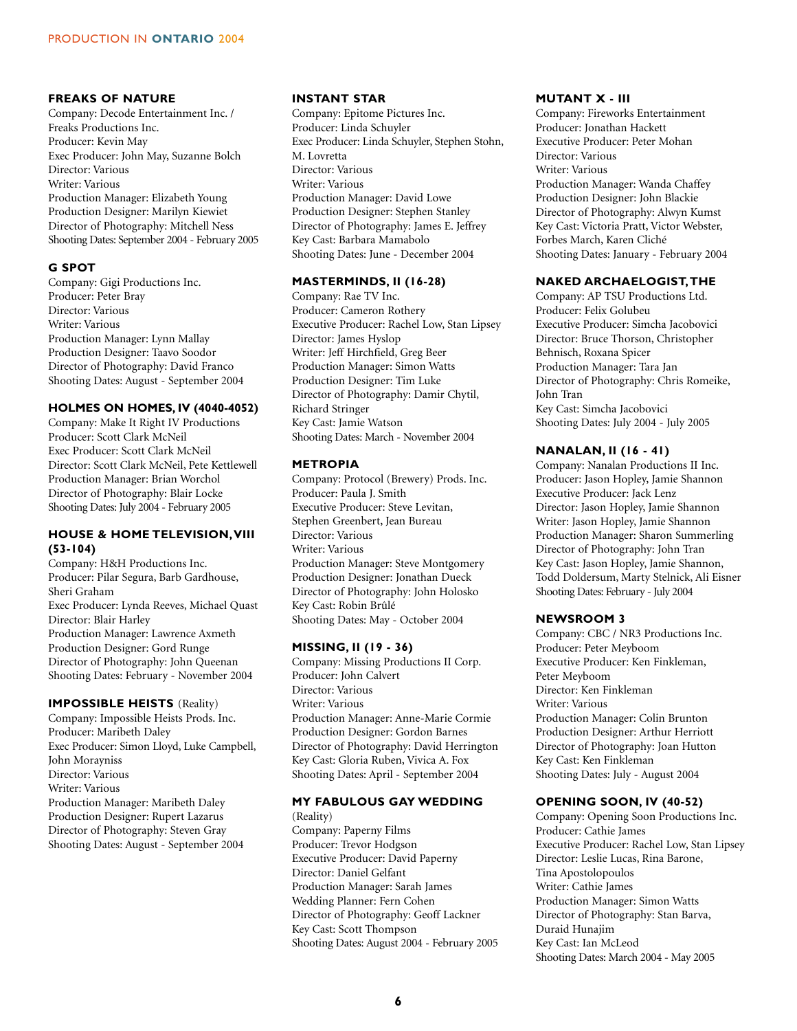### **FREAKS OF NATURE**

Company: Decode Entertainment Inc. / Freaks Productions Inc. Producer: Kevin May Exec Producer: John May, Suzanne Bolch Director: Various Writer: Various Production Manager: Elizabeth Young Production Designer: Marilyn Kiewiet Director of Photography: Mitchell Ness Shooting Dates: September 2004 - February 2005

### **G SPOT**

Company: Gigi Productions Inc. Producer: Peter Bray Director: Various Writer: Various Production Manager: Lynn Mallay Production Designer: Taavo Soodor Director of Photography: David Franco Shooting Dates: August - September 2004

### **HOLMES ON HOMES, IV (4040-4052)**

Company: Make It Right IV Productions Producer: Scott Clark McNeil Exec Producer: Scott Clark McNeil Director: Scott Clark McNeil, Pete Kettlewell Production Manager: Brian Worchol Director of Photography: Blair Locke Shooting Dates: July 2004 - February 2005

### **HOUSE & HOME TELEVISION,VIII (53-104)**

Company: H&H Productions Inc. Producer: Pilar Segura, Barb Gardhouse, Sheri Graham Exec Producer: Lynda Reeves, Michael Quast Director: Blair Harley Production Manager: Lawrence Axmeth Production Designer: Gord Runge Director of Photography: John Queenan Shooting Dates: February - November 2004

### **IMPOSSIBLE HEISTS** (Reality)

Company: Impossible Heists Prods. Inc. Producer: Maribeth Daley Exec Producer: Simon Lloyd, Luke Campbell, John Morayniss Director: Various Writer: Various Production Manager: Maribeth Daley Production Designer: Rupert Lazarus Director of Photography: Steven Gray Shooting Dates: August - September 2004

### **INSTANT STAR**

Company: Epitome Pictures Inc. Producer: Linda Schuyler Exec Producer: Linda Schuyler, Stephen Stohn, M. Lovretta Director: Various Writer: Various Production Manager: David Lowe Production Designer: Stephen Stanley Director of Photography: James E. Jeffrey Key Cast: Barbara Mamabolo Shooting Dates: June - December 2004

### **MASTERMINDS, II (16-28)**

Company: Rae TV Inc. Producer: Cameron Rothery Executive Producer: Rachel Low, Stan Lipsey Director: James Hyslop Writer: Jeff Hirchfield, Greg Beer Production Manager: Simon Watts Production Designer: Tim Luke Director of Photography: Damir Chytil, Richard Stringer Key Cast: Jamie Watson Shooting Dates: March - November 2004

### **METROPIA**

Company: Protocol (Brewery) Prods. Inc. Producer: Paula J. Smith Executive Producer: Steve Levitan, Stephen Greenbert, Jean Bureau Director: Various Writer: Various Production Manager: Steve Montgomery Production Designer: Jonathan Dueck Director of Photography: John Holosko Key Cast: Robin Brûlé Shooting Dates: May - October 2004

### **MISSING, II (19 - 36)**

Company: Missing Productions II Corp. Producer: John Calvert Director: Various Writer: Various Production Manager: Anne-Marie Cormie Production Designer: Gordon Barnes Director of Photography: David Herrington Key Cast: Gloria Ruben, Vivica A. Fox Shooting Dates: April - September 2004

### **MY FABULOUS GAY WEDDING**

(Reality) Company: Paperny Films Producer: Trevor Hodgson Executive Producer: David Paperny Director: Daniel Gelfant Production Manager: Sarah James Wedding Planner: Fern Cohen Director of Photography: Geoff Lackner Key Cast: Scott Thompson Shooting Dates: August 2004 - February 2005

### **MUTANT X - III**

Company: Fireworks Entertainment Producer: Jonathan Hackett Executive Producer: Peter Mohan Director: Various Writer: Various Production Manager: Wanda Chaffey Production Designer: John Blackie Director of Photography: Alwyn Kumst Key Cast: Victoria Pratt, Victor Webster, Forbes March, Karen Cliché Shooting Dates: January - February 2004

### **NAKED ARCHAELOGIST,THE**

Company: AP TSU Productions Ltd. Producer: Felix Golubeu Executive Producer: Simcha Jacobovici Director: Bruce Thorson, Christopher Behnisch, Roxana Spicer Production Manager: Tara Jan Director of Photography: Chris Romeike, John Tran Key Cast: Simcha Jacobovici Shooting Dates: July 2004 - July 2005

### **NANALAN, II (16 - 41)**

Company: Nanalan Productions II Inc. Producer: Jason Hopley, Jamie Shannon Executive Producer: Jack Lenz Director: Jason Hopley, Jamie Shannon Writer: Jason Hopley, Jamie Shannon Production Manager: Sharon Summerling Director of Photography: John Tran Key Cast: Jason Hopley, Jamie Shannon, Todd Doldersum, Marty Stelnick, Ali Eisner Shooting Dates: February - July 2004

### **NEWSROOM 3**

Company: CBC / NR3 Productions Inc. Producer: Peter Meyboom Executive Producer: Ken Finkleman, Peter Meyboom Director: Ken Finkleman Writer: Various Production Manager: Colin Brunton Production Designer: Arthur Herriott Director of Photography: Joan Hutton Key Cast: Ken Finkleman Shooting Dates: July - August 2004

### **OPENING SOON, IV (40-52)**

Company: Opening Soon Productions Inc. Producer: Cathie James Executive Producer: Rachel Low, Stan Lipsey Director: Leslie Lucas, Rina Barone, Tina Apostolopoulos Writer: Cathie James Production Manager: Simon Watts Director of Photography: Stan Barva, Duraid Hunajim Key Cast: Ian McLeod Shooting Dates: March 2004 - May 2005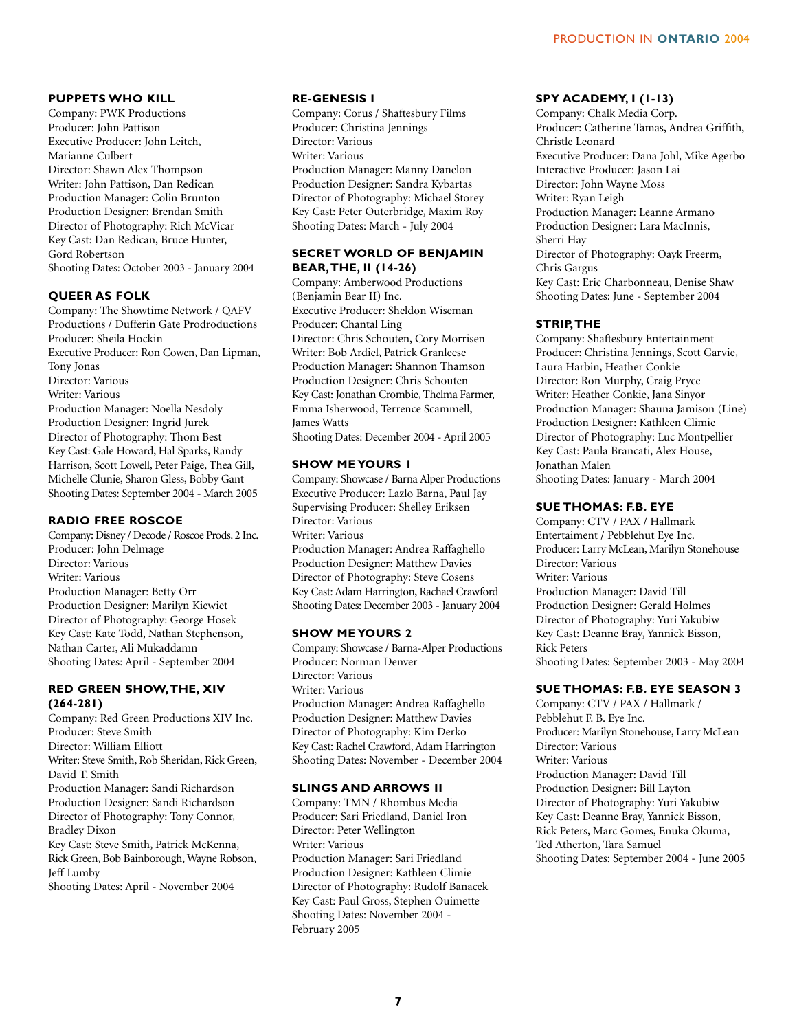### **PUPPETS WHO KILL**

Company: PWK Productions Producer: John Pattison Executive Producer: John Leitch, Marianne Culbert Director: Shawn Alex Thompson Writer: John Pattison, Dan Redican Production Manager: Colin Brunton Production Designer: Brendan Smith Director of Photography: Rich McVicar Key Cast: Dan Redican, Bruce Hunter, Gord Robertson Shooting Dates: October 2003 - January 2004

### **QUEER AS FOLK**

Company: The Showtime Network / QAFV Productions / Dufferin Gate Prodroductions Producer: Sheila Hockin Executive Producer: Ron Cowen, Dan Lipman, Tony Jonas Director: Various Writer: Various Production Manager: Noella Nesdoly Production Designer: Ingrid Jurek Director of Photography: Thom Best Key Cast: Gale Howard, Hal Sparks, Randy Harrison, Scott Lowell, Peter Paige, Thea Gill, Michelle Clunie, Sharon Gless, Bobby Gant Shooting Dates: September 2004 - March 2005

### **RADIO FREE ROSCOE**

Company: Disney / Decode / Roscoe Prods. 2 Inc. Producer: John Delmage Director: Various Writer: Various Production Manager: Betty Orr Production Designer: Marilyn Kiewiet Director of Photography: George Hosek Key Cast: Kate Todd, Nathan Stephenson, Nathan Carter, Ali Mukaddamn Shooting Dates: April - September 2004

### **RED GREEN SHOW,THE, XIV (264-281)**

Company: Red Green Productions XIV Inc. Producer: Steve Smith Director: William Elliott Writer: Steve Smith, Rob Sheridan, Rick Green, David T. Smith Production Manager: Sandi Richardson Production Designer: Sandi Richardson Director of Photography: Tony Connor, Bradley Dixon Key Cast: Steve Smith, Patrick McKenna, Rick Green, Bob Bainborough, Wayne Robson, Jeff Lumby Shooting Dates: April - November 2004

### **RE-GENESIS I**

Company: Corus / Shaftesbury Films Producer: Christina Jennings Director: Various Writer: Various Production Manager: Manny Danelon Production Designer: Sandra Kybartas Director of Photography: Michael Storey Key Cast: Peter Outerbridge, Maxim Roy Shooting Dates: March - July 2004

### **SECRET WORLD OF BENJAMIN BEAR,THE, II (14-26)**

Company: Amberwood Productions (Benjamin Bear II) Inc. Executive Producer: Sheldon Wiseman Producer: Chantal Ling Director: Chris Schouten, Cory Morrisen Writer: Bob Ardiel, Patrick Granleese Production Manager: Shannon Thamson Production Designer: Chris Schouten Key Cast: Jonathan Crombie, Thelma Farmer, Emma Isherwood, Terrence Scammell, James Watts Shooting Dates: December 2004 - April 2005

### **SHOW ME YOURS 1**

Company: Showcase / Barna Alper Productions Executive Producer: Lazlo Barna, Paul Jay Supervising Producer: Shelley Eriksen Director: Various Writer: Various Production Manager: Andrea Raffaghello Production Designer: Matthew Davies Director of Photography: Steve Cosens Key Cast: Adam Harrington, Rachael Crawford Shooting Dates: December 2003 - January 2004

### **SHOW ME YOURS 2**

Company: Showcase / Barna-Alper Productions Producer: Norman Denver Director: Various Writer: Various Production Manager: Andrea Raffaghello Production Designer: Matthew Davies Director of Photography: Kim Derko Key Cast: Rachel Crawford, Adam Harrington Shooting Dates: November - December 2004

### **SLINGS AND ARROWS II**

Company: TMN / Rhombus Media Producer: Sari Friedland, Daniel Iron Director: Peter Wellington Writer: Various Production Manager: Sari Friedland Production Designer: Kathleen Climie Director of Photography: Rudolf Banacek Key Cast: Paul Gross, Stephen Ouimette Shooting Dates: November 2004 - February 2005

### **SPY ACADEMY, I (1-13)**

Company: Chalk Media Corp. Producer: Catherine Tamas, Andrea Griffith, Christle Leonard Executive Producer: Dana Johl, Mike Agerbo Interactive Producer: Jason Lai Director: John Wayne Moss Writer: Ryan Leigh Production Manager: Leanne Armano Production Designer: Lara MacInnis, Sherri Hay Director of Photography: Oayk Freerm, Chris Gargus Key Cast: Eric Charbonneau, Denise Shaw Shooting Dates: June - September 2004

### **STRIP,THE**

Company: Shaftesbury Entertainment Producer: Christina Jennings, Scott Garvie, Laura Harbin, Heather Conkie Director: Ron Murphy, Craig Pryce Writer: Heather Conkie, Jana Sinyor Production Manager: Shauna Jamison (Line) Production Designer: Kathleen Climie Director of Photography: Luc Montpellier Key Cast: Paula Brancati, Alex House, Jonathan Malen Shooting Dates: January - March 2004

### **SUE THOMAS: F.B. EYE**

Company: CTV / PAX / Hallmark Entertaiment / Pebblehut Eye Inc. Producer: Larry McLean, Marilyn Stonehouse Director: Various Writer: Various Production Manager: David Till Production Designer: Gerald Holmes Director of Photography: Yuri Yakubiw Key Cast: Deanne Bray, Yannick Bisson, Rick Peters Shooting Dates: September 2003 - May 2004

### **SUE THOMAS: F.B. EYE SEASON 3**

Company: CTV / PAX / Hallmark / Pebblehut F. B. Eye Inc. Producer: Marilyn Stonehouse, Larry McLean Director: Various Writer: Various Production Manager: David Till Production Designer: Bill Layton Director of Photography: Yuri Yakubiw Key Cast: Deanne Bray, Yannick Bisson, Rick Peters, Marc Gomes, Enuka Okuma, Ted Atherton, Tara Samuel Shooting Dates: September 2004 - June 2005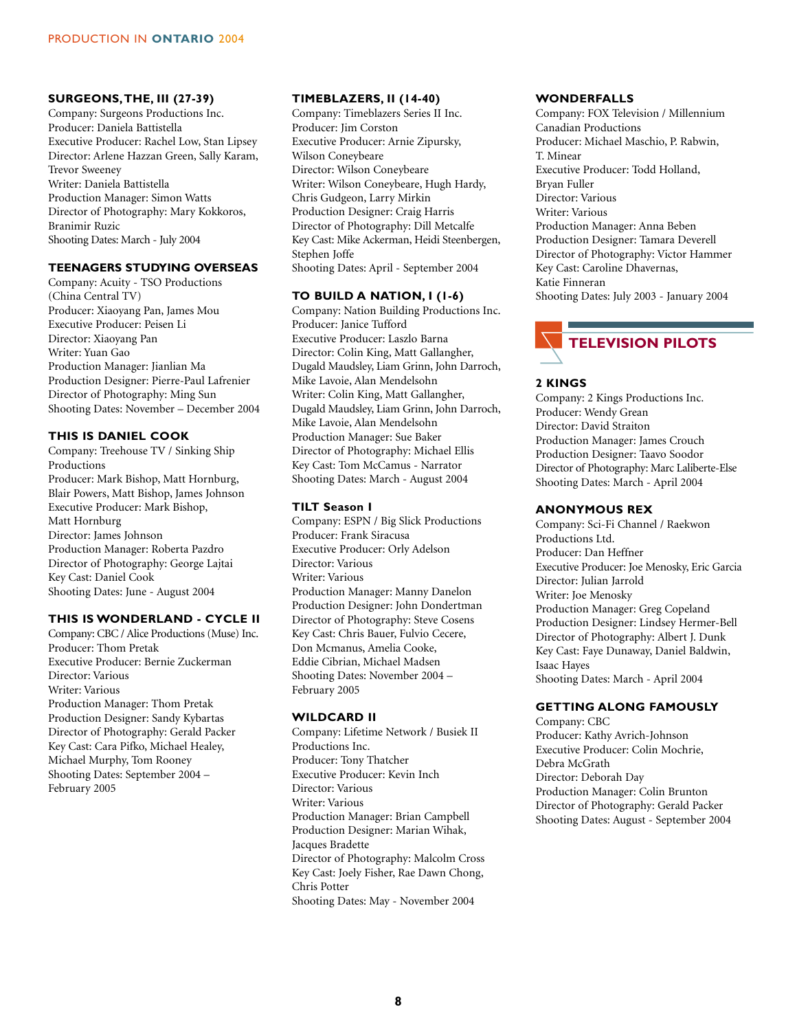### **SURGEONS,THE, III (27-39)**

Company: Surgeons Productions Inc. Producer: Daniela Battistella Executive Producer: Rachel Low, Stan Lipsey Director: Arlene Hazzan Green, Sally Karam, Trevor Sweeney Writer: Daniela Battistella Production Manager: Simon Watts Director of Photography: Mary Kokkoros, Branimir Ruzic Shooting Dates: March - July 2004

### **TEENAGERS STUDYING OVERSEAS**

Company: Acuity - TSO Productions (China Central TV) Producer: Xiaoyang Pan, James Mou Executive Producer: Peisen Li Director: Xiaoyang Pan Writer: Yuan Gao Production Manager: Jianlian Ma Production Designer: Pierre-Paul Lafrenier Director of Photography: Ming Sun Shooting Dates: November – December 2004

### **THIS IS DANIEL COOK**

Company: Treehouse TV / Sinking Ship Productions Producer: Mark Bishop, Matt Hornburg, Blair Powers, Matt Bishop, James Johnson Executive Producer: Mark Bishop, Matt Hornburg Director: James Johnson Production Manager: Roberta Pazdro Director of Photography: George Lajtai Key Cast: Daniel Cook Shooting Dates: June - August 2004

### **THIS IS WONDERLAND - CYCLE II**

Company: CBC / Alice Productions (Muse) Inc. Producer: Thom Pretak Executive Producer: Bernie Zuckerman Director: Various Writer: Various Production Manager: Thom Pretak Production Designer: Sandy Kybartas Director of Photography: Gerald Packer Key Cast: Cara Pifko, Michael Healey, Michael Murphy, Tom Rooney Shooting Dates: September 2004 – February 2005

### **TIMEBLAZERS, II (14-40)**

Company: Timeblazers Series II Inc. Producer: Jim Corston Executive Producer: Arnie Zipursky, Wilson Coneybeare Director: Wilson Coneybeare Writer: Wilson Coneybeare, Hugh Hardy, Chris Gudgeon, Larry Mirkin Production Designer: Craig Harris Director of Photography: Dill Metcalfe Key Cast: Mike Ackerman, Heidi Steenbergen, Stephen Joffe Shooting Dates: April - September 2004

### **TO BUILD A NATION, I (1-6)**

Company: Nation Building Productions Inc. Producer: Janice Tufford Executive Producer: Laszlo Barna Director: Colin King, Matt Gallangher, Dugald Maudsley, Liam Grinn, John Darroch, Mike Lavoie, Alan Mendelsohn Writer: Colin King, Matt Gallangher, Dugald Maudsley, Liam Grinn, John Darroch, Mike Lavoie, Alan Mendelsohn Production Manager: Sue Baker Director of Photography: Michael Ellis Key Cast: Tom McCamus - Narrator Shooting Dates: March - August 2004

### **TILT Season I**

Company: ESPN / Big Slick Productions Producer: Frank Siracusa Executive Producer: Orly Adelson Director: Various Writer: Various Production Manager: Manny Danelon Production Designer: John Dondertman Director of Photography: Steve Cosens Key Cast: Chris Bauer, Fulvio Cecere, Don Mcmanus, Amelia Cooke, Eddie Cibrian, Michael Madsen Shooting Dates: November 2004 – February 2005

### **WILDCARD II**

Company: Lifetime Network / Busiek II Productions Inc. Producer: Tony Thatcher Executive Producer: Kevin Inch Director: Various Writer: Various Production Manager: Brian Campbell Production Designer: Marian Wihak, Jacques Bradette Director of Photography: Malcolm Cross Key Cast: Joely Fisher, Rae Dawn Chong, Chris Potter Shooting Dates: May - November 2004

### **WONDERFALLS**

Company: FOX Television / Millennium Canadian Productions Producer: Michael Maschio, P. Rabwin, T. Minear Executive Producer: Todd Holland, Bryan Fuller Director: Various Writer: Various Production Manager: Anna Beben Production Designer: Tamara Deverell Director of Photography: Victor Hammer Key Cast: Caroline Dhavernas, Katie Finneran Shooting Dates: July 2003 - January 2004



### **2 KINGS**

Company: 2 Kings Productions Inc. Producer: Wendy Grean Director: David Straiton Production Manager: James Crouch Production Designer: Taavo Soodor Director of Photography: Marc Laliberte-Else Shooting Dates: March - April 2004

### **ANONYMOUS REX**

Company: Sci-Fi Channel / Raekwon Productions Ltd. Producer: Dan Heffner Executive Producer: Joe Menosky, Eric Garcia Director: Julian Jarrold Writer: Joe Menosky Production Manager: Greg Copeland Production Designer: Lindsey Hermer-Bell Director of Photography: Albert J. Dunk Key Cast: Faye Dunaway, Daniel Baldwin, Isaac Hayes Shooting Dates: March - April 2004

### **GETTING ALONG FAMOUSLY**

Company: CBC Producer: Kathy Avrich-Johnson Executive Producer: Colin Mochrie, Debra McGrath Director: Deborah Day Production Manager: Colin Brunton Director of Photography: Gerald Packer Shooting Dates: August - September 2004